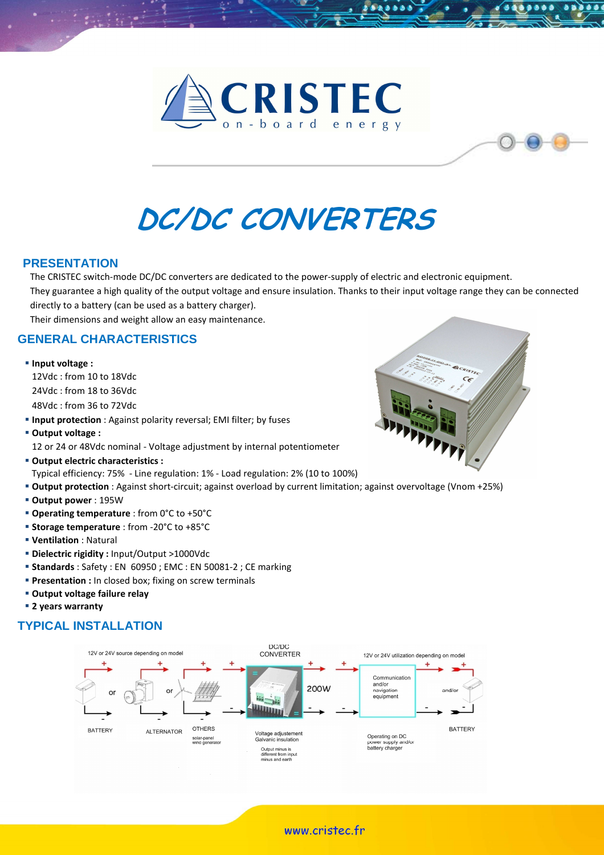



# DC/DC CONVERTERS

#### **PRESENTATION**

The CRISTEC switch-mode DC/DC converters are dedicated to the power-supply of electric and electronic equipment.

They guarantee a high quality of the output voltage and ensure insulation. Thanks to their input voltage range they can be connected directly to a battery (can be used as a battery charger).

Their dimensions and weight allow an easy maintenance.

## **GENERAL CHARACTERISTICS**

**Input voltage :** 

 12Vdc : from 10 to 18Vdc 24Vdc : from 18 to 36Vdc 48Vdc : from 36 to 72Vdc

- **Input protection** : Against polarity reversal; EMI filter; by fuses
- Output voltage :
	- 12 or 24 or 48Vdc nominal Voltage adjustment by internal potentiometer
- Output electric characteristics :
- Typical efficiency: 75% Line regulation: 1% Load regulation: 2% (10 to 100%)
- Output protection : Against short-circuit; against overload by current limitation; against overvoltage (Vnom +25%)
- Output power : 195W
- **Operating temperature** : from 0°C to +50°C
- **Storage temperature** : from -20°C to +85°C
- Ventilation : Natural
- Dielectric rigidity : Input/Output >1000Vdc
- **Standards** : Safety : EN 60950 ; EMC : EN 50081-2 ; CE marking
- **Presentation :** In closed box; fixing on screw terminals
- Output voltage failure relay
- **2 years warranty**

# **TYPICAL INSTALLATION**





www.cristec.fr